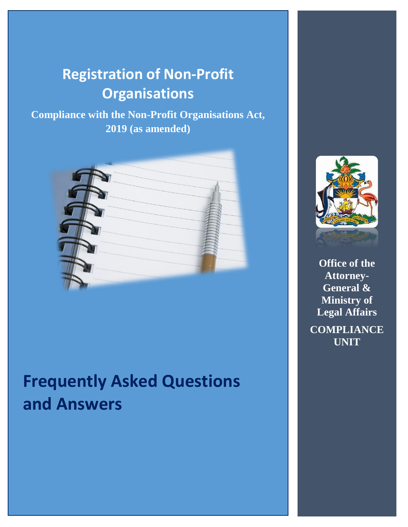# **Registration of Non-Profit Organisations**

**Compliance with the Non-Profit Organisations Act, 2019 (as amended)**



# **Frequently Asked Questions and Answers**



**Office of the Attorney-General & Ministry of Legal Affairs COMPLIANCE UNIT**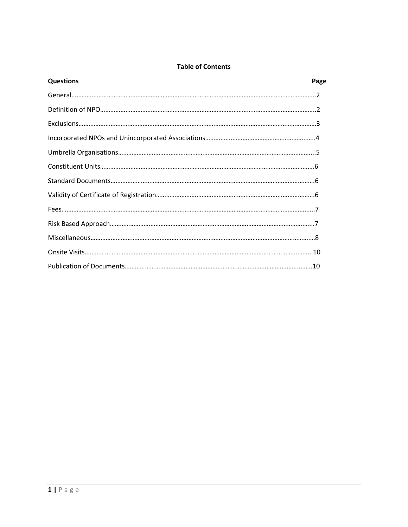#### **Table of Contents**

| <b>Questions</b> | Page |
|------------------|------|
|                  |      |
|                  |      |
|                  |      |
|                  |      |
|                  |      |
|                  |      |
|                  |      |
|                  |      |
|                  |      |
|                  |      |
|                  |      |
|                  |      |
|                  |      |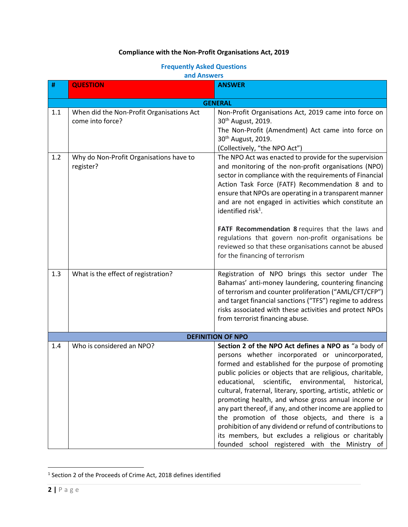## **Compliance with the Non-Profit Organisations Act, 2019**

## **Frequently Asked Questions**

#### **and Answers**

| #              | <b>QUESTION</b>                                               | <b>ANSWER</b>                                                                                                                                                                                                                                                                                                                                                                                                                                                                                                                                                                                                                                                                                          |  |  |
|----------------|---------------------------------------------------------------|--------------------------------------------------------------------------------------------------------------------------------------------------------------------------------------------------------------------------------------------------------------------------------------------------------------------------------------------------------------------------------------------------------------------------------------------------------------------------------------------------------------------------------------------------------------------------------------------------------------------------------------------------------------------------------------------------------|--|--|
| <b>GENERAL</b> |                                                               |                                                                                                                                                                                                                                                                                                                                                                                                                                                                                                                                                                                                                                                                                                        |  |  |
| 1.1            | When did the Non-Profit Organisations Act<br>come into force? | Non-Profit Organisations Act, 2019 came into force on<br>30 <sup>th</sup> August, 2019.<br>The Non-Profit (Amendment) Act came into force on<br>30 <sup>th</sup> August, 2019.<br>(Collectively, "the NPO Act")                                                                                                                                                                                                                                                                                                                                                                                                                                                                                        |  |  |
| 1.2            | Why do Non-Profit Organisations have to<br>register?          | The NPO Act was enacted to provide for the supervision<br>and monitoring of the non-profit organisations (NPO)<br>sector in compliance with the requirements of Financial<br>Action Task Force (FATF) Recommendation 8 and to<br>ensure that NPOs are operating in a transparent manner<br>and are not engaged in activities which constitute an<br>identified risk <sup>1</sup> .<br>FATF Recommendation 8 requires that the laws and                                                                                                                                                                                                                                                                 |  |  |
|                |                                                               | regulations that govern non-profit organisations be<br>reviewed so that these organisations cannot be abused<br>for the financing of terrorism                                                                                                                                                                                                                                                                                                                                                                                                                                                                                                                                                         |  |  |
| 1.3            | What is the effect of registration?                           | Registration of NPO brings this sector under The<br>Bahamas' anti-money laundering, countering financing<br>of terrorism and counter proliferation ("AML/CFT/CFP")<br>and target financial sanctions ("TFS") regime to address<br>risks associated with these activities and protect NPOs<br>from terrorist financing abuse.                                                                                                                                                                                                                                                                                                                                                                           |  |  |
|                | <b>DEFINITION OF NPO</b>                                      |                                                                                                                                                                                                                                                                                                                                                                                                                                                                                                                                                                                                                                                                                                        |  |  |
| 1.4            | Who is considered an NPO?                                     | Section 2 of the NPO Act defines a NPO as "a body of<br>persons whether incorporated or unincorporated,<br>formed and established for the purpose of promoting<br>public policies or objects that are religious, charitable,<br>scientific, environmental,<br>educational,<br>historical,<br>cultural, fraternal, literary, sporting, artistic, athletic or<br>promoting health, and whose gross annual income or<br>any part thereof, if any, and other income are applied to<br>the promotion of those objects, and there is a<br>prohibition of any dividend or refund of contributions to<br>its members, but excludes a religious or charitably<br>founded school registered with the Ministry of |  |  |

<sup>&</sup>lt;sup>1</sup> Section 2 of the Proceeds of Crime Act, 2018 defines identified

 $\overline{\phantom{a}}$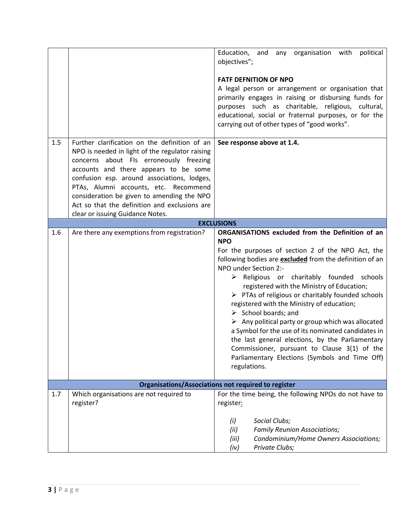|     |                                                                                     | Education, and any organisation with<br>political<br>objectives";                                         |
|-----|-------------------------------------------------------------------------------------|-----------------------------------------------------------------------------------------------------------|
|     |                                                                                     |                                                                                                           |
|     |                                                                                     | <b>FATF DEFNITION OF NPO</b>                                                                              |
|     |                                                                                     | A legal person or arrangement or organisation that                                                        |
|     |                                                                                     | primarily engages in raising or disbursing funds for<br>purposes such as charitable, religious, cultural, |
|     |                                                                                     | educational, social or fraternal purposes, or for the                                                     |
|     |                                                                                     | carrying out of other types of "good works".                                                              |
|     |                                                                                     |                                                                                                           |
| 1.5 | Further clarification on the definition of an                                       | See response above at 1.4.                                                                                |
|     | NPO is needed in light of the regulator raising                                     |                                                                                                           |
|     | concerns about FIs erroneously freezing                                             |                                                                                                           |
|     | accounts and there appears to be some                                               |                                                                                                           |
|     | confusion esp. around associations, lodges,                                         |                                                                                                           |
|     | PTAs, Alumni accounts, etc. Recommend<br>consideration be given to amending the NPO |                                                                                                           |
|     | Act so that the definition and exclusions are                                       |                                                                                                           |
|     | clear or issuing Guidance Notes.                                                    |                                                                                                           |
|     |                                                                                     | <b>EXCLUSIONS</b>                                                                                         |
| 1.6 | Are there any exemptions from registration?                                         | ORGANISATIONS excluded from the Definition of an                                                          |
|     |                                                                                     | <b>NPO</b>                                                                                                |
|     |                                                                                     | For the purposes of section 2 of the NPO Act, the                                                         |
|     |                                                                                     | following bodies are <b>excluded</b> from the definition of an                                            |
|     |                                                                                     | NPO under Section 2:-<br>$\triangleright$ Religious or charitably founded schools                         |
|     |                                                                                     | registered with the Ministry of Education;                                                                |
|     |                                                                                     | $\triangleright$ PTAs of religious or charitably founded schools                                          |
|     |                                                                                     | registered with the Ministry of education;                                                                |
|     |                                                                                     | $\triangleright$ School boards; and                                                                       |
|     |                                                                                     | $\triangleright$ Any political party or group which was allocated                                         |
|     |                                                                                     | a Symbol for the use of its nominated candidates in                                                       |
|     |                                                                                     | the last general elections, by the Parliamentary                                                          |
|     |                                                                                     | Commissioner, pursuant to Clause 3(1) of the                                                              |
|     |                                                                                     | Parliamentary Elections (Symbols and Time Off)                                                            |
|     |                                                                                     | regulations.                                                                                              |
|     |                                                                                     | <b>Organisations/Associations not required to register</b>                                                |
| 1.7 | Which organisations are not required to                                             | For the time being, the following NPOs do not have to                                                     |
|     | register?                                                                           | register:                                                                                                 |
|     |                                                                                     | (i)<br>Social Clubs;                                                                                      |
|     |                                                                                     | (ii)<br><b>Family Reunion Associations;</b>                                                               |
|     |                                                                                     | Condominium/Home Owners Associations;<br>(iii)                                                            |
|     |                                                                                     | Private Clubs;<br>(iv)                                                                                    |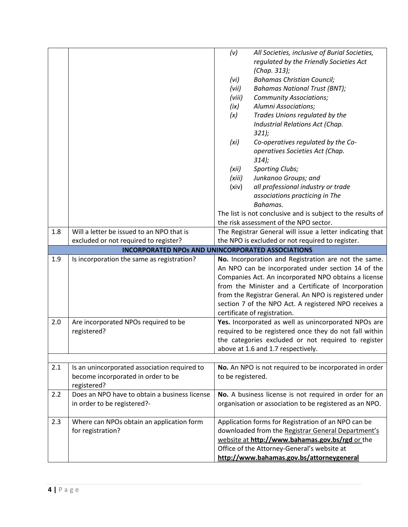|     |                                                                                                   | (v)               | All Societies, inclusive of Burial Societies,                                                                                                                                                                                                                                                                                                                                 |
|-----|---------------------------------------------------------------------------------------------------|-------------------|-------------------------------------------------------------------------------------------------------------------------------------------------------------------------------------------------------------------------------------------------------------------------------------------------------------------------------------------------------------------------------|
|     |                                                                                                   |                   | regulated by the Friendly Societies Act                                                                                                                                                                                                                                                                                                                                       |
|     |                                                                                                   |                   | (Chap. 313);                                                                                                                                                                                                                                                                                                                                                                  |
|     |                                                                                                   | (vi)              | <b>Bahamas Christian Council;</b>                                                                                                                                                                                                                                                                                                                                             |
|     |                                                                                                   | (vii)             | <b>Bahamas National Trust (BNT);</b>                                                                                                                                                                                                                                                                                                                                          |
|     |                                                                                                   | (viii)            | <b>Community Associations;</b>                                                                                                                                                                                                                                                                                                                                                |
|     |                                                                                                   | (ix)              | Alumni Associations;                                                                                                                                                                                                                                                                                                                                                          |
|     |                                                                                                   | (x)               | Trades Unions regulated by the                                                                                                                                                                                                                                                                                                                                                |
|     |                                                                                                   |                   | Industrial Relations Act (Chap.                                                                                                                                                                                                                                                                                                                                               |
|     |                                                                                                   |                   | 321;                                                                                                                                                                                                                                                                                                                                                                          |
|     |                                                                                                   | (xi)              | Co-operatives regulated by the Co-                                                                                                                                                                                                                                                                                                                                            |
|     |                                                                                                   |                   | operatives Societies Act (Chap.                                                                                                                                                                                                                                                                                                                                               |
|     |                                                                                                   |                   | 314);                                                                                                                                                                                                                                                                                                                                                                         |
|     |                                                                                                   | (xii)             | Sporting Clubs;                                                                                                                                                                                                                                                                                                                                                               |
|     |                                                                                                   | (xiii)            | Junkanoo Groups; and                                                                                                                                                                                                                                                                                                                                                          |
|     |                                                                                                   | (xiv)             | all professional industry or trade                                                                                                                                                                                                                                                                                                                                            |
|     |                                                                                                   |                   | associations practicing in The                                                                                                                                                                                                                                                                                                                                                |
|     |                                                                                                   |                   | Bahamas.                                                                                                                                                                                                                                                                                                                                                                      |
|     |                                                                                                   |                   | The list is not conclusive and is subject to the results of                                                                                                                                                                                                                                                                                                                   |
|     |                                                                                                   |                   | the risk assessment of the NPO sector.                                                                                                                                                                                                                                                                                                                                        |
| 1.8 | Will a letter be issued to an NPO that is                                                         |                   | The Registrar General will issue a letter indicating that                                                                                                                                                                                                                                                                                                                     |
|     | excluded or not required to register?                                                             |                   | the NPO is excluded or not required to register.                                                                                                                                                                                                                                                                                                                              |
|     | <b>INCORPORATED NPOs AND UNINCORPORATED ASSOCIATIONS</b>                                          |                   |                                                                                                                                                                                                                                                                                                                                                                               |
|     |                                                                                                   |                   |                                                                                                                                                                                                                                                                                                                                                                               |
| 1.9 | Is incorporation the same as registration?                                                        |                   | No. Incorporation and Registration are not the same.<br>An NPO can be incorporated under section 14 of the<br>Companies Act. An incorporated NPO obtains a license<br>from the Minister and a Certificate of Incorporation<br>from the Registrar General. An NPO is registered under<br>section 7 of the NPO Act. A registered NPO receives a<br>certificate of registration. |
| 2.0 | Are incorporated NPOs required to be                                                              |                   | Yes. Incorporated as well as unincorporated NPOs are                                                                                                                                                                                                                                                                                                                          |
|     | registered?                                                                                       |                   | required to be registered once they do not fall within                                                                                                                                                                                                                                                                                                                        |
|     |                                                                                                   |                   | the categories excluded or not required to register                                                                                                                                                                                                                                                                                                                           |
|     |                                                                                                   |                   | above at 1.6 and 1.7 respectively.                                                                                                                                                                                                                                                                                                                                            |
|     |                                                                                                   |                   |                                                                                                                                                                                                                                                                                                                                                                               |
| 2.1 | Is an unincorporated association required to<br>become incorporated in order to be<br>registered? | to be registered. | No. An NPO is not required to be incorporated in order                                                                                                                                                                                                                                                                                                                        |
| 2.2 | Does an NPO have to obtain a business license                                                     |                   | No. A business license is not required in order for an                                                                                                                                                                                                                                                                                                                        |
|     | in order to be registered?-                                                                       |                   | organisation or association to be registered as an NPO.                                                                                                                                                                                                                                                                                                                       |
| 2.3 | Where can NPOs obtain an application form                                                         |                   | Application forms for Registration of an NPO can be                                                                                                                                                                                                                                                                                                                           |
|     | for registration?                                                                                 |                   | downloaded from the Registrar General Department's                                                                                                                                                                                                                                                                                                                            |
|     |                                                                                                   |                   | website at http://www.bahamas.gov.bs/rgd or the                                                                                                                                                                                                                                                                                                                               |
|     |                                                                                                   |                   | Office of the Attorney-General's website at                                                                                                                                                                                                                                                                                                                                   |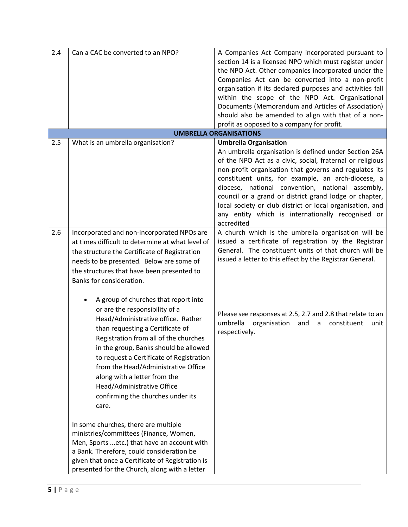| 2.4 | Can a CAC be converted to an NPO?                                                                                                                                                                                                                                                                                                                       | A Companies Act Company incorporated pursuant to<br>section 14 is a licensed NPO which must register under<br>the NPO Act. Other companies incorporated under the<br>Companies Act can be converted into a non-profit<br>organisation if its declared purposes and activities fall<br>within the scope of the NPO Act. Organisational<br>Documents (Memorandum and Articles of Association)<br>should also be amended to align with that of a non-                                                               |
|-----|---------------------------------------------------------------------------------------------------------------------------------------------------------------------------------------------------------------------------------------------------------------------------------------------------------------------------------------------------------|------------------------------------------------------------------------------------------------------------------------------------------------------------------------------------------------------------------------------------------------------------------------------------------------------------------------------------------------------------------------------------------------------------------------------------------------------------------------------------------------------------------|
|     |                                                                                                                                                                                                                                                                                                                                                         | profit as opposed to a company for profit.                                                                                                                                                                                                                                                                                                                                                                                                                                                                       |
|     |                                                                                                                                                                                                                                                                                                                                                         | <b>UMBRELLA ORGANISATIONS</b>                                                                                                                                                                                                                                                                                                                                                                                                                                                                                    |
| 2.5 | What is an umbrella organisation?                                                                                                                                                                                                                                                                                                                       | <b>Umbrella Organisation</b><br>An umbrella organisation is defined under Section 26A<br>of the NPO Act as a civic, social, fraternal or religious<br>non-profit organisation that governs and regulates its<br>constituent units, for example, an arch-diocese, a<br>diocese, national convention, national assembly,<br>council or a grand or district grand lodge or chapter,<br>local society or club district or local organisation, and<br>any entity which is internationally recognised or<br>accredited |
| 2.6 | Incorporated and non-incorporated NPOs are<br>at times difficult to determine at what level of<br>the structure the Certificate of Registration<br>needs to be presented. Below are some of<br>the structures that have been presented to<br>Banks for consideration.<br>A group of churches that report into<br>or are the responsibility of a         | A church which is the umbrella organisation will be<br>issued a certificate of registration by the Registrar<br>General. The constituent units of that church will be<br>issued a letter to this effect by the Registrar General.<br>Please see responses at 2.5, 2.7 and 2.8 that relate to an                                                                                                                                                                                                                  |
|     | Head/Administrative office. Rather<br>than requesting a Certificate of<br>Registration from all of the churches<br>in the group, Banks should be allowed<br>to request a Certificate of Registration<br>from the Head/Administrative Office<br>along with a letter from the<br>Head/Administrative Office<br>confirming the churches under its<br>care. | umbrella<br>organisation<br>and<br>constituent<br>a<br>unit<br>respectively.                                                                                                                                                                                                                                                                                                                                                                                                                                     |
|     | In some churches, there are multiple<br>ministries/committees (Finance, Women,<br>Men, Sports  etc.) that have an account with<br>a Bank. Therefore, could consideration be<br>given that once a Certificate of Registration is<br>presented for the Church, along with a letter                                                                        |                                                                                                                                                                                                                                                                                                                                                                                                                                                                                                                  |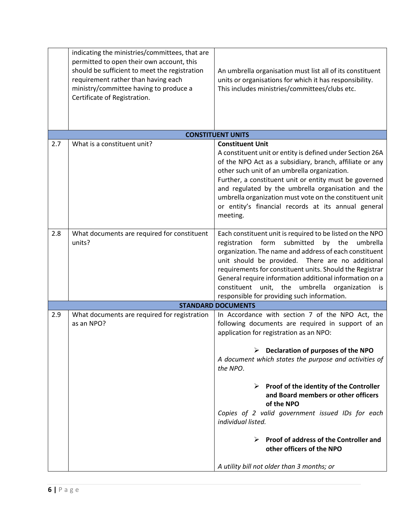|     | indicating the ministries/committees, that are<br>permitted to open their own account, this<br>should be sufficient to meet the registration<br>requirement rather than having each<br>ministry/committee having to produce a<br>Certificate of Registration. | An umbrella organisation must list all of its constituent<br>units or organisations for which it has responsibility.<br>This includes ministries/committees/clubs etc.                                                                                                                                                                                                                                                                                                                                                                                                      |
|-----|---------------------------------------------------------------------------------------------------------------------------------------------------------------------------------------------------------------------------------------------------------------|-----------------------------------------------------------------------------------------------------------------------------------------------------------------------------------------------------------------------------------------------------------------------------------------------------------------------------------------------------------------------------------------------------------------------------------------------------------------------------------------------------------------------------------------------------------------------------|
|     |                                                                                                                                                                                                                                                               | <b>CONSTITUENT UNITS</b>                                                                                                                                                                                                                                                                                                                                                                                                                                                                                                                                                    |
| 2.7 | What is a constituent unit?                                                                                                                                                                                                                                   | <b>Constituent Unit</b><br>A constituent unit or entity is defined under Section 26A<br>of the NPO Act as a subsidiary, branch, affiliate or any<br>other such unit of an umbrella organization.<br>Further, a constituent unit or entity must be governed<br>and regulated by the umbrella organisation and the<br>umbrella organization must vote on the constituent unit<br>or entity's financial records at its annual general<br>meeting.                                                                                                                              |
| 2.8 | What documents are required for constituent<br>units?                                                                                                                                                                                                         | Each constituent unit is required to be listed on the NPO<br>form<br>submitted<br>registration<br>by the<br>umbrella<br>organization. The name and address of each constituent<br>unit should be provided. There are no additional<br>requirements for constituent units. Should the Registrar<br>General require information additional information on a<br>unit,<br>umbrella<br>constituent<br>the<br>organization<br>is<br>responsible for providing such information.                                                                                                   |
|     |                                                                                                                                                                                                                                                               | <b>STANDARD DOCUMENTS</b>                                                                                                                                                                                                                                                                                                                                                                                                                                                                                                                                                   |
| 2.9 | What documents are required for registration<br>as an NPO?                                                                                                                                                                                                    | In Accordance with section 7 of the NPO Act, the<br>following documents are required in support of an<br>application for registration as an NPO:<br>Declaration of purposes of the NPO<br>A document which states the purpose and activities of<br>the NPO.<br>$\triangleright$ Proof of the identity of the Controller<br>and Board members or other officers<br>of the NPO<br>Copies of 2 valid government issued IDs for each<br>individual listed.<br>Proof of address of the Controller and<br>other officers of the NPO<br>A utility bill not older than 3 months; or |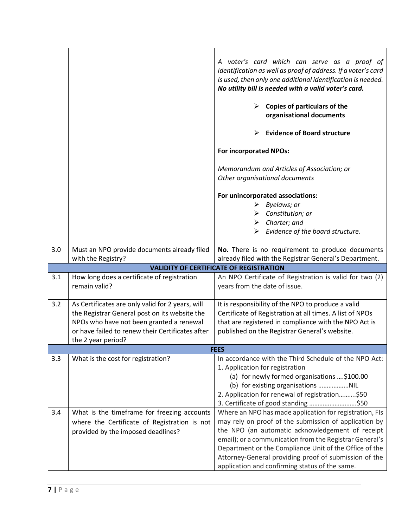|     |                                                                                                                                                                                                                         | A voter's card which can serve as a proof of<br>identification as well as proof of address. If a voter's card<br>is used, then only one additional identification is needed.<br>No utility bill is needed with a valid voter's card.<br>Copies of particulars of the<br>➤<br>organisational documents<br><b>Evidence of Board structure</b><br><b>For incorporated NPOs:</b><br>Memorandum and Articles of Association; or<br>Other organisational documents<br>For unincorporated associations:<br>Byelaws; or<br>≻<br>Constitution; or<br>➤<br>$\triangleright$ Charter; and<br>Evidence of the board structure. |
|-----|-------------------------------------------------------------------------------------------------------------------------------------------------------------------------------------------------------------------------|--------------------------------------------------------------------------------------------------------------------------------------------------------------------------------------------------------------------------------------------------------------------------------------------------------------------------------------------------------------------------------------------------------------------------------------------------------------------------------------------------------------------------------------------------------------------------------------------------------------------|
| 3.0 | Must an NPO provide documents already filed                                                                                                                                                                             | No. There is no requirement to produce documents                                                                                                                                                                                                                                                                                                                                                                                                                                                                                                                                                                   |
|     | with the Registry?                                                                                                                                                                                                      | already filed with the Registrar General's Department.                                                                                                                                                                                                                                                                                                                                                                                                                                                                                                                                                             |
|     |                                                                                                                                                                                                                         | <b>VALIDITY OF CERTIFICATE OF REGISTRATION</b>                                                                                                                                                                                                                                                                                                                                                                                                                                                                                                                                                                     |
| 3.1 | How long does a certificate of registration<br>remain valid?                                                                                                                                                            | An NPO Certificate of Registration is valid for two (2)<br>years from the date of issue.                                                                                                                                                                                                                                                                                                                                                                                                                                                                                                                           |
| 3.2 | As Certificates are only valid for 2 years, will<br>the Registrar General post on its website the<br>NPOs who have not been granted a renewal<br>or have failed to renew their Certificates after<br>the 2 year period? | It is responsibility of the NPO to produce a valid<br>Certificate of Registration at all times. A list of NPOs<br>that are registered in compliance with the NPO Act is<br>published on the Registrar General's website.                                                                                                                                                                                                                                                                                                                                                                                           |
|     |                                                                                                                                                                                                                         | <b>FEES</b>                                                                                                                                                                                                                                                                                                                                                                                                                                                                                                                                                                                                        |
| 3.3 | What is the cost for registration?                                                                                                                                                                                      | In accordance with the Third Schedule of the NPO Act:<br>1. Application for registration<br>(a) for newly formed organisations \$100.00<br>2. Application for renewal of registration\$50<br>3. Certificate of good standing \$50                                                                                                                                                                                                                                                                                                                                                                                  |
| 3.4 | What is the timeframe for freezing accounts<br>where the Certificate of Registration is not<br>provided by the imposed deadlines?                                                                                       | Where an NPO has made application for registration, FIs<br>may rely on proof of the submission of application by<br>the NPO (an automatic acknowledgement of receipt<br>email); or a communication from the Registrar General's<br>Department or the Compliance Unit of the Office of the<br>Attorney-General providing proof of submission of the<br>application and confirming status of the same.                                                                                                                                                                                                               |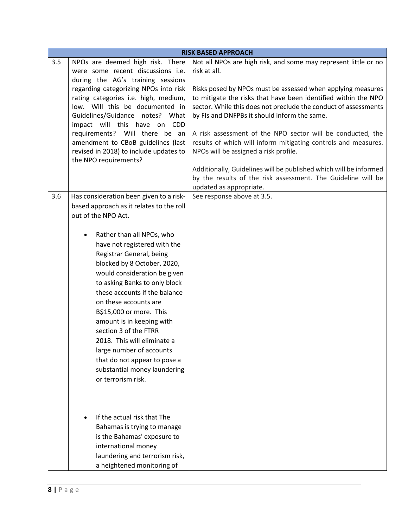|     |                                                                                                                                                                                                                                                                                                                                                                                                                                                                                                                                                                                                 | <b>RISK BASED APPROACH</b>                                                                                                                                                                                                                                                                                                                                                                                                                                                                                                                                                                                                                        |
|-----|-------------------------------------------------------------------------------------------------------------------------------------------------------------------------------------------------------------------------------------------------------------------------------------------------------------------------------------------------------------------------------------------------------------------------------------------------------------------------------------------------------------------------------------------------------------------------------------------------|---------------------------------------------------------------------------------------------------------------------------------------------------------------------------------------------------------------------------------------------------------------------------------------------------------------------------------------------------------------------------------------------------------------------------------------------------------------------------------------------------------------------------------------------------------------------------------------------------------------------------------------------------|
| 3.5 | NPOs are deemed high risk. There<br>were some recent discussions i.e.<br>during the AG's training sessions<br>regarding categorizing NPOs into risk<br>rating categories i.e. high, medium,<br>low. Will this be documented in<br>Guidelines/Guidance notes? What<br>impact will this have on<br><b>CDD</b><br>requirements? Will there be an<br>amendment to CBoB guidelines (last<br>revised in 2018) to include updates to<br>the NPO requirements?                                                                                                                                          | Not all NPOs are high risk, and some may represent little or no<br>risk at all.<br>Risks posed by NPOs must be assessed when applying measures<br>to mitigate the risks that have been identified within the NPO<br>sector. While this does not preclude the conduct of assessments<br>by FIs and DNFPBs it should inform the same.<br>A risk assessment of the NPO sector will be conducted, the<br>results of which will inform mitigating controls and measures.<br>NPOs will be assigned a risk profile.<br>Additionally, Guidelines will be published which will be informed<br>by the results of the risk assessment. The Guideline will be |
|     |                                                                                                                                                                                                                                                                                                                                                                                                                                                                                                                                                                                                 | updated as appropriate.                                                                                                                                                                                                                                                                                                                                                                                                                                                                                                                                                                                                                           |
| 3.6 | Has consideration been given to a risk-<br>based approach as it relates to the roll<br>out of the NPO Act.<br>Rather than all NPOs, who<br>have not registered with the<br>Registrar General, being<br>blocked by 8 October, 2020,<br>would consideration be given<br>to asking Banks to only block<br>these accounts if the balance<br>on these accounts are<br>B\$15,000 or more. This<br>amount is in keeping with<br>section 3 of the FTRR<br>2018. This will eliminate a<br>large number of accounts<br>that do not appear to pose a<br>substantial money laundering<br>or terrorism risk. | See response above at 3.5.                                                                                                                                                                                                                                                                                                                                                                                                                                                                                                                                                                                                                        |
|     | If the actual risk that The<br>Bahamas is trying to manage<br>is the Bahamas' exposure to<br>international money<br>laundering and terrorism risk,<br>a heightened monitoring of                                                                                                                                                                                                                                                                                                                                                                                                                |                                                                                                                                                                                                                                                                                                                                                                                                                                                                                                                                                                                                                                                   |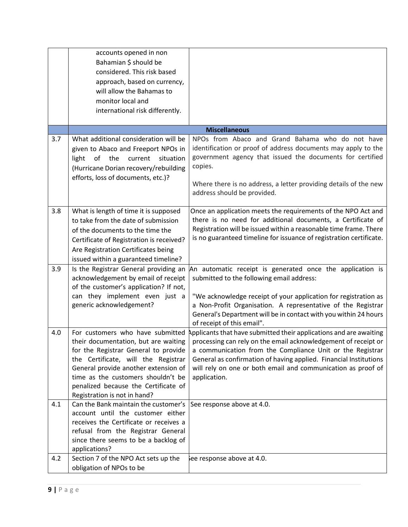|     | accounts opened in non<br>Bahamian \$ should be<br>considered. This risk based<br>approach, based on currency,<br>will allow the Bahamas to                                                                                                                                                                   |                                                                                                                                                                                                                                                                                                                                                                                   |
|-----|---------------------------------------------------------------------------------------------------------------------------------------------------------------------------------------------------------------------------------------------------------------------------------------------------------------|-----------------------------------------------------------------------------------------------------------------------------------------------------------------------------------------------------------------------------------------------------------------------------------------------------------------------------------------------------------------------------------|
|     | monitor local and<br>international risk differently.                                                                                                                                                                                                                                                          |                                                                                                                                                                                                                                                                                                                                                                                   |
|     |                                                                                                                                                                                                                                                                                                               | <b>Miscellaneous</b>                                                                                                                                                                                                                                                                                                                                                              |
| 3.7 | What additional consideration will be<br>given to Abaco and Freeport NPOs in<br>light of the<br>current<br>situation<br>(Hurricane Dorian recovery/rebuilding<br>efforts, loss of documents, etc.)?                                                                                                           | NPOs from Abaco and Grand Bahama who do not have<br>identification or proof of address documents may apply to the<br>government agency that issued the documents for certified<br>copies.<br>Where there is no address, a letter providing details of the new<br>address should be provided.                                                                                      |
| 3.8 | What is length of time it is supposed<br>to take from the date of submission<br>of the documents to the time the<br>Certificate of Registration is received?<br>Are Registration Certificates being<br>issued within a guaranteed timeline?                                                                   | Once an application meets the requirements of the NPO Act and<br>there is no need for additional documents, a Certificate of<br>Registration will be issued within a reasonable time frame. There<br>is no guaranteed timeline for issuance of registration certificate.                                                                                                          |
| 3.9 | acknowledgement by email of receipt<br>of the customer's application? If not,<br>can they implement even just a<br>generic acknowledgement?                                                                                                                                                                   | Is the Registrar General providing an An automatic receipt is generated once the application is<br>submitted to the following email address:<br>"We acknowledge receipt of your application for registration as<br>a Non-Profit Organisation. A representative of the Registrar<br>General's Department will be in contact with you within 24 hours<br>of receipt of this email". |
| 4.0 | For customers who have submitted<br>their documentation, but are waiting<br>for the Registrar General to provide<br>the Certificate, will the Registrar<br>General provide another extension of<br>time as the customers shouldn't be<br>penalized because the Certificate of<br>Registration is not in hand? | Applicants that have submitted their applications and are awaiting<br>processing can rely on the email acknowledgement of receipt or<br>a communication from the Compliance Unit or the Registrar<br>General as confirmation of having applied. Financial Institutions<br>will rely on one or both email and communication as proof of<br>application.                            |
| 4.1 | Can the Bank maintain the customer's<br>account until the customer either<br>receives the Certificate or receives a<br>refusal from the Registrar General<br>since there seems to be a backlog of<br>applications?                                                                                            | See response above at 4.0.                                                                                                                                                                                                                                                                                                                                                        |
| 4.2 | Section 7 of the NPO Act sets up the<br>obligation of NPOs to be                                                                                                                                                                                                                                              | see response above at 4.0.                                                                                                                                                                                                                                                                                                                                                        |